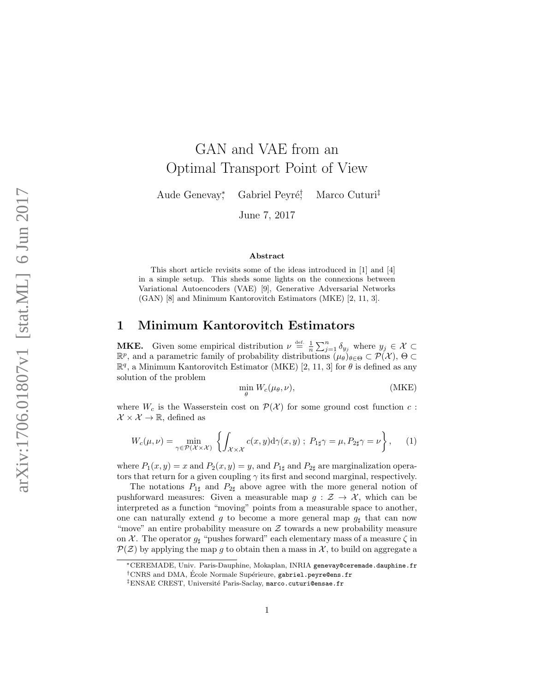# GAN and VAE from an Optimal Transport Point of View

Aude Genevay,\* \* Gabriel Peyré<sup>†</sup> , Marco Cuturi ‡

June 7, 2017

#### Abstract

This short article revisits some of the ideas introduced in [1] and [4] in a simple setup. This sheds some lights on the connexions between Variational Autoencoders (VAE) [9], Generative Adversarial Networks (GAN) [8] and Minimum Kantorovitch Estimators (MKE) [2, 11, 3].

# 1 Minimum Kantorovitch Estimators

**MKE.** Given some empirical distribution  $\nu \triangleq \frac{1}{n} \sum_{j=1}^{n} \delta_{y_j}$  where  $y_j \in \mathcal{X} \subset$  $\mathbb{R}^p$ , and a parametric family of probability distributions  $(\mu_\theta)_{\theta \in \Theta} \subset \mathcal{P}(\mathcal{X}), \Theta \subset \mathcal{Z}$  $\mathbb{R}^q$ , a Minimum Kantorovitch Estimator (MKE) [2, 11, 3] for  $\theta$  is defined as any solution of the problem

$$
\min_{\theta} W_c(\mu_{\theta}, \nu), \tag{MKE}
$$

where  $W_c$  is the Wasserstein cost on  $\mathcal{P}(\mathcal{X})$  for some ground cost function  $c$ :  $\mathcal{X} \times \mathcal{X} \to \mathbb{R}$ , defined as

$$
W_c(\mu,\nu) = \min_{\gamma \in \mathcal{P}(\mathcal{X} \times \mathcal{X})} \left\{ \int_{\mathcal{X} \times \mathcal{X}} c(x,y) \mathrm{d}\gamma(x,y) ; \ P_{1\sharp}\gamma = \mu, P_{2\sharp}\gamma = \nu \right\}, \tag{1}
$$

where  $P_1(x, y) = x$  and  $P_2(x, y) = y$ , and  $P_{1\sharp}$  and  $P_{2\sharp}$  are marginalization operators that return for a given coupling  $\gamma$  its first and second marginal, respectively.

The notations  $P_{1\sharp}$  and  $P_{2\sharp}$  above agree with the more general notion of pushforward measures: Given a measurable map  $g: \mathcal{Z} \to \mathcal{X}$ , which can be interpreted as a function "moving" points from a measurable space to another, one can naturally extend g to become a more general map  $g$ <sup> $\sharp$ </sup> that can now "move" an entire probability measure on  $\mathcal Z$  towards a new probability measure on  $\chi$ . The operator  $g_{\sharp}$  "pushes forward" each elementary mass of a measure  $\zeta$  in  $\mathcal{P}(\mathcal{Z})$  by applying the map g to obtain then a mass in  $\mathcal{X}$ , to build on aggregate a

<sup>∗</sup>CEREMADE, Univ. Paris-Dauphine, Mokaplan, INRIA genevay@ceremade.dauphine.fr <sup>†</sup>CNRS and DMA, École Normale Supérieure, gabriel.peyre@ens.fr

<sup>&</sup>lt;sup>‡</sup>ENSAE CREST, Université Paris-Saclay, marco.cuturi@ensae.fr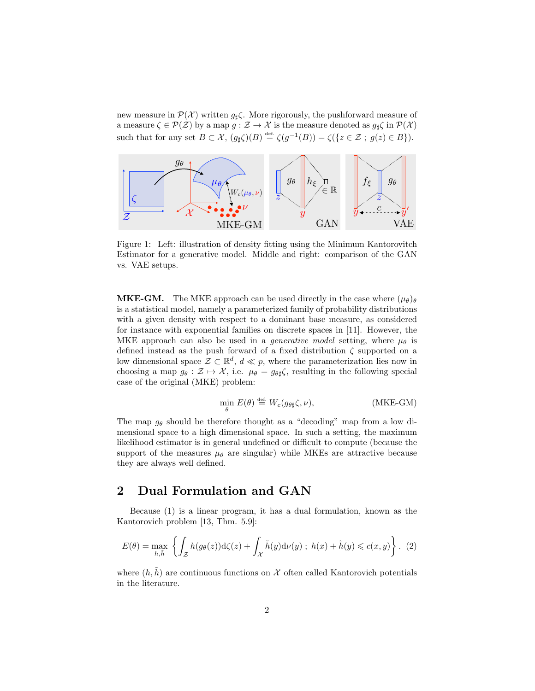new measure in  $\mathcal{P}(\mathcal{X})$  written  $g_{\sharp}\zeta$ . More rigorously, the pushforward measure of a measure  $\zeta \in \mathcal{P}(\mathcal{Z})$  by a map  $g : \mathcal{Z} \to \mathcal{X}$  is the measure denoted as  $g_{\sharp} \zeta$  in  $\mathcal{P}(\mathcal{X})$ such that for any set  $B \subset \mathcal{X}$ ,  $(g_{\sharp} \zeta)(B) \stackrel{\text{def.}}{=} \zeta(g^{-1}(B)) = \zeta(\{z \in \mathcal{Z} \; ; \; g(z) \in B\}).$ 



Figure 1: Left: illustration of density fitting using the Minimum Kantorovitch Estimator for a generative model. Middle and right: comparison of the GAN vs. VAE setups.

**MKE-GM.** The MKE approach can be used directly in the case where  $(\mu_{\theta})_{\theta}$ is a statistical model, namely a parameterized family of probability distributions with a given density with respect to a dominant base measure, as considered for instance with exponential families on discrete spaces in [11]. However, the MKE approach can also be used in a *generative model* setting, where  $\mu_{\theta}$  is defined instead as the push forward of a fixed distribution  $\zeta$  supported on a low dimensional space  $\mathcal{Z} \subset \mathbb{R}^d$ ,  $d \ll p$ , where the parameterization lies now in choosing a map  $g_{\theta} : \mathcal{Z} \mapsto \mathcal{X}$ , i.e.  $\mu_{\theta} = g_{\theta\sharp} \zeta$ , resulting in the following special case of the original (MKE) problem:

$$
\min_{\theta} E(\theta) \stackrel{\text{def}}{=} W_c(g_{\theta \sharp} \zeta, \nu), \tag{MKE-GM}
$$

The map  $g_{\theta}$  should be therefore thought as a "decoding" map from a low dimensional space to a high dimensional space. In such a setting, the maximum likelihood estimator is in general undefined or difficult to compute (because the support of the measures  $\mu_{\theta}$  are singular) while MKEs are attractive because they are always well defined.

# 2 Dual Formulation and GAN

Because (1) is a linear program, it has a dual formulation, known as the Kantorovich problem [13, Thm. 5.9]:

$$
E(\theta) = \max_{h, \tilde{h}} \left\{ \int_{\mathcal{Z}} h(g_{\theta}(z)) \mathrm{d}\zeta(z) + \int_{\mathcal{X}} \tilde{h}(y) \mathrm{d}\nu(y) ; h(x) + \tilde{h}(y) \leqslant c(x, y) \right\}.
$$
 (2)

where  $(h, \tilde{h})$  are continuous functions on X often called Kantorovich potentials in the literature.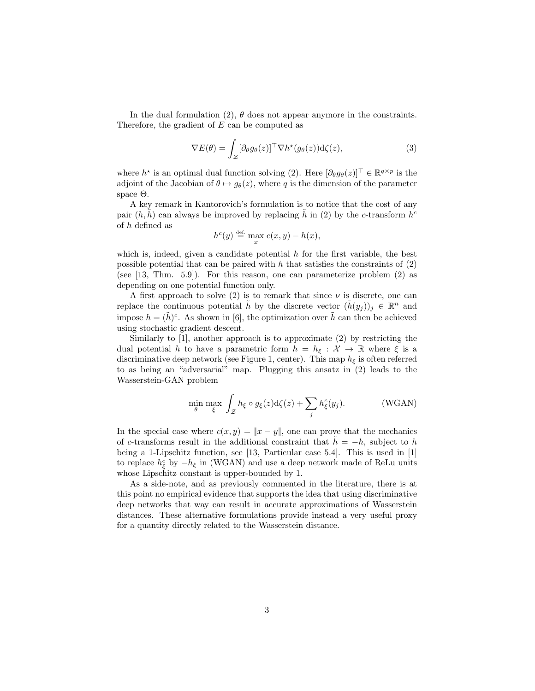In the dual formulation (2),  $\theta$  does not appear anymore in the constraints. Therefore, the gradient of E can be computed as

$$
\nabla E(\theta) = \int_{\mathcal{Z}} [\partial_{\theta} g_{\theta}(z)]^{\top} \nabla h^{\star} (g_{\theta}(z)) \mathrm{d}\zeta(z), \tag{3}
$$

where  $h^*$  is an optimal dual function solving (2). Here  $[\partial_{\theta}g_{\theta}(z)]^{\top} \in \mathbb{R}^{q \times p}$  is the adjoint of the Jacobian of  $\theta \mapsto g_{\theta}(z)$ , where q is the dimension of the parameter space Θ.

A key remark in Kantorovich's formulation is to notice that the cost of any pair  $(h, \tilde{h})$  can always be improved by replacing  $\tilde{h}$  in (2) by the c-transform  $h^c$ of h defined as

$$
h^c(y) \stackrel{\text{def.}}{=} \max_x c(x, y) - h(x),
$$

which is, indeed, given a candidate potential  $h$  for the first variable, the best possible potential that can be paired with  $h$  that satisfies the constraints of  $(2)$ (see [13, Thm. 5.9]). For this reason, one can parameterize problem (2) as depending on one potential function only.

A first approach to solve (2) is to remark that since  $\nu$  is discrete, one can replace the continuous potential  $\tilde{h}$  by the discrete vector  $(\tilde{h}(y_j))_j \in \mathbb{R}^n$  and impose  $h = (\tilde{h})^c$ . As shown in [6], the optimization over  $\tilde{h}$  can then be achieved using stochastic gradient descent.

Similarly to  $[1]$ , another approach is to approximate  $(2)$  by restricting the dual potential h to have a parametric form  $h = h_{\xi} : \mathcal{X} \to \mathbb{R}$  where  $\xi$  is a discriminative deep network (see Figure 1, center). This map  $h_{\xi}$  is often referred to as being an "adversarial" map. Plugging this ansatz in (2) leads to the Wasserstein-GAN problem

$$
\min_{\theta} \max_{\xi} \int_{\mathcal{Z}} h_{\xi} \circ g_{\xi}(z) d\zeta(z) + \sum_{j} h_{\xi}^{c}(y_{j}). \tag{WGAN}
$$

In the special case where  $c(x, y) = ||x - y||$ , one can prove that the mechanics of c-transforms result in the additional constraint that  $h = -h$ , subject to h being a 1-Lipschitz function, see [13, Particular case 5.4]. This is used in [1] to replace  $h_{\xi}^{c}$  by  $-h_{\xi}$  in (WGAN) and use a deep network made of ReLu units whose Lipschitz constant is upper-bounded by 1.

As a side-note, and as previously commented in the literature, there is at this point no empirical evidence that supports the idea that using discriminative deep networks that way can result in accurate approximations of Wasserstein distances. These alternative formulations provide instead a very useful proxy for a quantity directly related to the Wasserstein distance.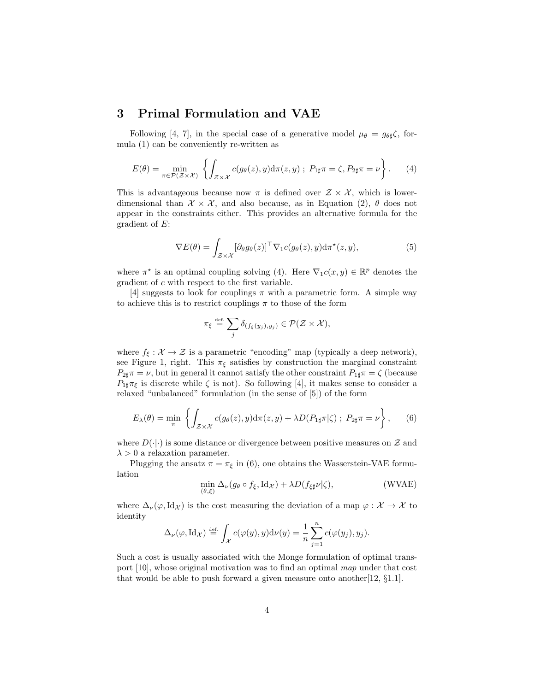# 3 Primal Formulation and VAE

Following [4, 7], in the special case of a generative model  $\mu_{\theta} = g_{\theta\sharp}\zeta$ , formula (1) can be conveniently re-written as

$$
E(\theta) = \min_{\pi \in \mathcal{P}(\mathcal{Z} \times \mathcal{X})} \left\{ \int_{\mathcal{Z} \times \mathcal{X}} c(g_{\theta}(z), y) \mathrm{d}\pi(z, y) ; P_{1\sharp}\pi = \zeta, P_{2\sharp}\pi = \nu \right\}.
$$
 (4)

This is advantageous because now  $\pi$  is defined over  $\mathcal{Z} \times \mathcal{X}$ , which is lowerdimensional than  $\mathcal{X} \times \mathcal{X}$ , and also because, as in Equation (2),  $\theta$  does not appear in the constraints either. This provides an alternative formula for the gradient of E:

$$
\nabla E(\theta) = \int_{\mathcal{Z} \times \mathcal{X}} [\partial_{\theta} g_{\theta}(z)]^{\top} \nabla_1 c(g_{\theta}(z), y) \mathrm{d} \pi^{\star}(z, y), \tag{5}
$$

where  $\pi^*$  is an optimal coupling solving (4). Here  $\nabla_1 c(x, y) \in \mathbb{R}^p$  denotes the gradient of c with respect to the first variable.

[4] suggests to look for couplings  $\pi$  with a parametric form. A simple way to achieve this is to restrict couplings  $\pi$  to those of the form

$$
\pi_{\xi} \stackrel{\text{\tiny def.}}{=} \sum_{j} \delta_{(f_{\xi}(y_j), y_j)} \in \mathcal{P}(\mathcal{Z} \times \mathcal{X}),
$$

where  $f_{\xi}: \mathcal{X} \to \mathcal{Z}$  is a parametric "encoding" map (typically a deep network), see Figure 1, right. This  $\pi_{\xi}$  satisfies by construction the marginal constraint  $P_{2\sharp}\pi = \nu$ , but in general it cannot satisfy the other constraint  $P_{1\sharp}\pi = \zeta$  (because  $P_{1\sharp}\pi_{\xi}$  is discrete while  $\zeta$  is not). So following [4], it makes sense to consider a relaxed "unbalanced" formulation (in the sense of [5]) of the form

$$
E_{\lambda}(\theta) = \min_{\pi} \left\{ \int_{\mathcal{Z} \times \mathcal{X}} c(g_{\theta}(z), y) d\pi(z, y) + \lambda D(P_{1\sharp}\pi|\zeta) ; P_{2\sharp}\pi = \nu \right\}, \quad (6)
$$

where  $D(\cdot|\cdot)$  is some distance or divergence between positive measures on  $\mathcal Z$  and  $\lambda > 0$  a relaxation parameter.

Plugging the ansatz  $\pi = \pi_{\xi}$  in (6), one obtains the Wasserstein-VAE formulation

$$
\min_{(\theta,\xi)} \Delta_{\nu}(g_{\theta} \circ f_{\xi}, \mathrm{Id}_{\mathcal{X}}) + \lambda D(f_{\xi \sharp} \nu | \zeta), \tag{WVAE}
$$

where  $\Delta_{\nu}(\varphi, \text{Id}_{\mathcal{X}})$  is the cost measuring the deviation of a map  $\varphi : \mathcal{X} \to \mathcal{X}$  to identity

$$
\Delta_{\nu}(\varphi, \mathrm{Id}_{\mathcal{X}}) \stackrel{\text{\tiny def.}}{=} \int_{\mathcal{X}} c(\varphi(y), y) \mathrm{d}\nu(y) = \frac{1}{n} \sum_{j=1}^{n} c(\varphi(y_j), y_j).
$$

Such a cost is usually associated with the Monge formulation of optimal transport [10], whose original motivation was to find an optimal map under that cost that would be able to push forward a given measure onto another  $[12, \S1.1]$ .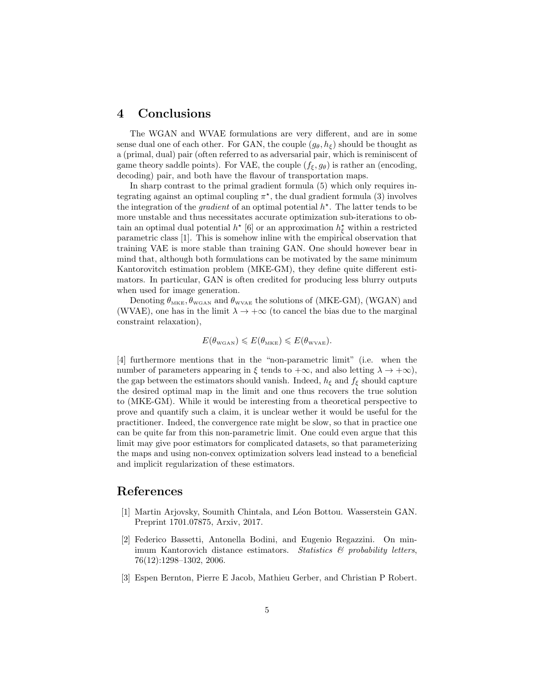# 4 Conclusions

The WGAN and WVAE formulations are very different, and are in some sense dual one of each other. For GAN, the couple  $(g_{\theta}, h_{\xi})$  should be thought as a (primal, dual) pair (often referred to as adversarial pair, which is reminiscent of game theory saddle points). For VAE, the couple  $(f_{\xi}, g_{\theta})$  is rather an (encoding, decoding) pair, and both have the flavour of transportation maps.

In sharp contrast to the primal gradient formula (5) which only requires integrating against an optimal coupling  $\pi^*$ , the dual gradient formula (3) involves the integration of the *gradient* of an optimal potential  $h^*$ . The latter tends to be more unstable and thus necessitates accurate optimization sub-iterations to obtain an optimal dual potential  $h^*$  [6] or an approximation  $h_{\xi}^*$  within a restricted parametric class [1]. This is somehow inline with the empirical observation that training VAE is more stable than training GAN. One should however bear in mind that, although both formulations can be motivated by the same minimum Kantorovitch estimation problem (MKE-GM), they define quite different estimators. In particular, GAN is often credited for producing less blurry outputs when used for image generation.

Denoting  $\theta_{MKE}$ ,  $\theta_{WGAN}$  and  $\theta_{WVAE}$  the solutions of (MKE-GM), (WGAN) and (WVAE), one has in the limit  $\lambda \to +\infty$  (to cancel the bias due to the marginal constraint relaxation),

$$
E(\theta_{\text{wGAN}}) \leqslant E(\theta_{\text{mke}}) \leqslant E(\theta_{\text{wvae}}).
$$

[4] furthermore mentions that in the "non-parametric limit" (i.e. when the number of parameters appearing in  $\xi$  tends to  $+\infty$ , and also letting  $\lambda \to +\infty$ ), the gap between the estimators should vanish. Indeed,  $h_{\xi}$  and  $f_{\xi}$  should capture the desired optimal map in the limit and one thus recovers the true solution to (MKE-GM). While it would be interesting from a theoretical perspective to prove and quantify such a claim, it is unclear wether it would be useful for the practitioner. Indeed, the convergence rate might be slow, so that in practice one can be quite far from this non-parametric limit. One could even argue that this limit may give poor estimators for complicated datasets, so that parameterizing the maps and using non-convex optimization solvers lead instead to a beneficial and implicit regularization of these estimators.

# References

- [1] Martin Arjovsky, Soumith Chintala, and Léon Bottou. Wasserstein GAN. Preprint 1701.07875, Arxiv, 2017.
- [2] Federico Bassetti, Antonella Bodini, and Eugenio Regazzini. On minimum Kantorovich distance estimators. Statistics  $\mathcal{B}$  probability letters, 76(12):1298–1302, 2006.
- [3] Espen Bernton, Pierre E Jacob, Mathieu Gerber, and Christian P Robert.